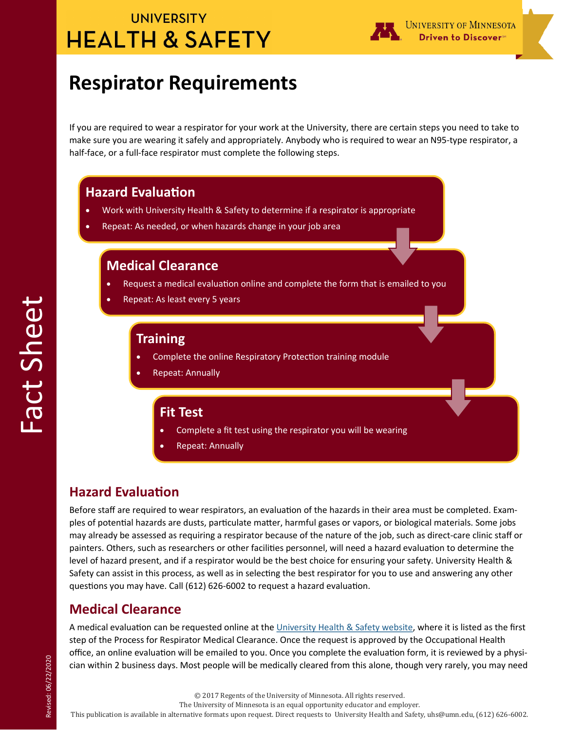## **UNIVERSITY HEALTH & SAFETY**

# **Respirator Requirements**

If you are required to wear a respirator for your work at the University, there are certain steps you need to take to make sure you are wearing it safely and appropriately. Anybody who is required to wear an N95-type respirator, a half-face, or a full-face respirator must complete the following steps.

#### **Hazard Evaluation**

- Work with University Health & Safety to determine if a respirator is appropriate
- Repeat: As needed, or when hazards change in your job area

#### **Medical Clearance**

- Request a medical evaluation online and complete the form that is emailed to you
- Repeat: As least every 5 years

#### **Training**

- Complete the online Respiratory Protection training module
- Repeat: Annually

#### **Fit Test**

- Complete a fit test using the respirator you will be wearing
- Repeat: Annually

### **Hazard Evaluation**

Before staff are required to wear respirators, an evaluation of the hazards in their area must be completed. Examples of potential hazards are dusts, particulate matter, harmful gases or vapors, or biological materials. Some jobs may already be assessed as requiring a respirator because of the nature of the job, such as direct-care clinic staff or painters. Others, such as researchers or other facilities personnel, will need a hazard evaluation to determine the level of hazard present, and if a respirator would be the best choice for ensuring your safety. University Health & Safety can assist in this process, as well as in selecting the best respirator for you to use and answering any other questions you may have. Call (612) 626-6002 to request a hazard evaluation.

### **Medical Clearance**

A medical evaluation can be requested online at the [University Health & Safety website,](https://bohd.umn.edu/respiratory-protection-program) where it is listed as the first step of the Process for Respirator Medical Clearance. Once the request is approved by the Occupational Health office, an online evaluation will be emailed to you. Once you complete the evaluation form, it is reviewed by a physician within 2 business days. Most people will be medically cleared from this alone, though very rarely, you may need

The University of Minnesota is an equal opportunity educator and employer.

This publication is available in alternative formats upon request. Direct requests to University Health and Safety, uhs@umn.edu, (612) 626-6002.